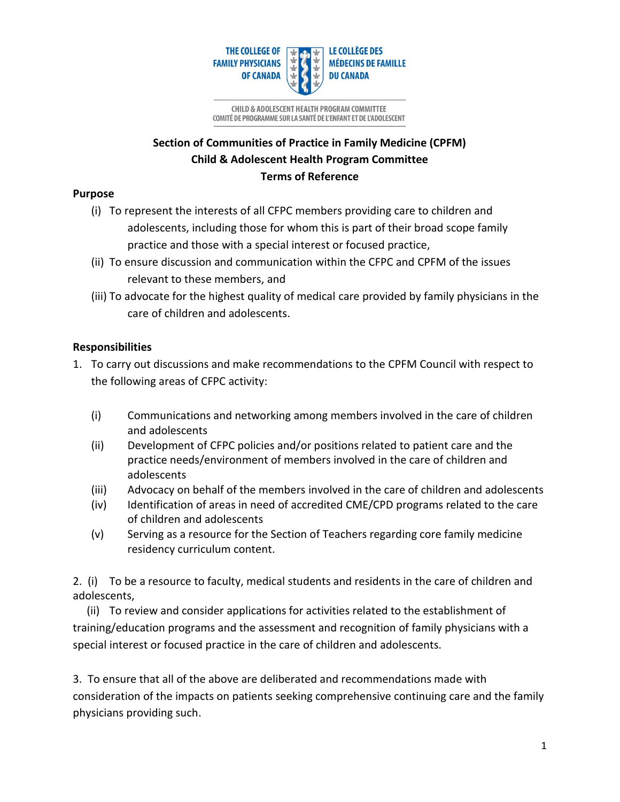

# **Section of Communities of Practice in Family Medicine (CPFM) Child & Adolescent Health Program Committee Terms of Reference**

## **Purpose**

- (i) To represent the interests of all CFPC members providing care to children and adolescents, including those for whom this is part of their broad scope family practice and those with a special interest or focused practice,
- (ii) To ensure discussion and communication within the CFPC and CPFM of the issues relevant to these members, and
- (iii) To advocate for the highest quality of medical care provided by family physicians in the care of children and adolescents.

## **Responsibilities**

- 1. To carry out discussions and make recommendations to the CPFM Council with respect to the following areas of CFPC activity:
	- (i) Communications and networking among members involved in the care of children and adolescents
	- (ii) Development of CFPC policies and/or positions related to patient care and the practice needs/environment of members involved in the care of children and adolescents
	- (iii) Advocacy on behalf of the members involved in the care of children and adolescents
	- (iv) Identification of areas in need of accredited CME/CPD programs related to the care of children and adolescents
	- (v) Serving as a resource for the Section of Teachers regarding core family medicine residency curriculum content.

2. (i) To be a resource to faculty, medical students and residents in the care of children and adolescents,

 (ii) To review and consider applications for activities related to the establishment of training/education programs and the assessment and recognition of family physicians with a special interest or focused practice in the care of children and adolescents.

3. To ensure that all of the above are deliberated and recommendations made with consideration of the impacts on patients seeking comprehensive continuing care and the family physicians providing such.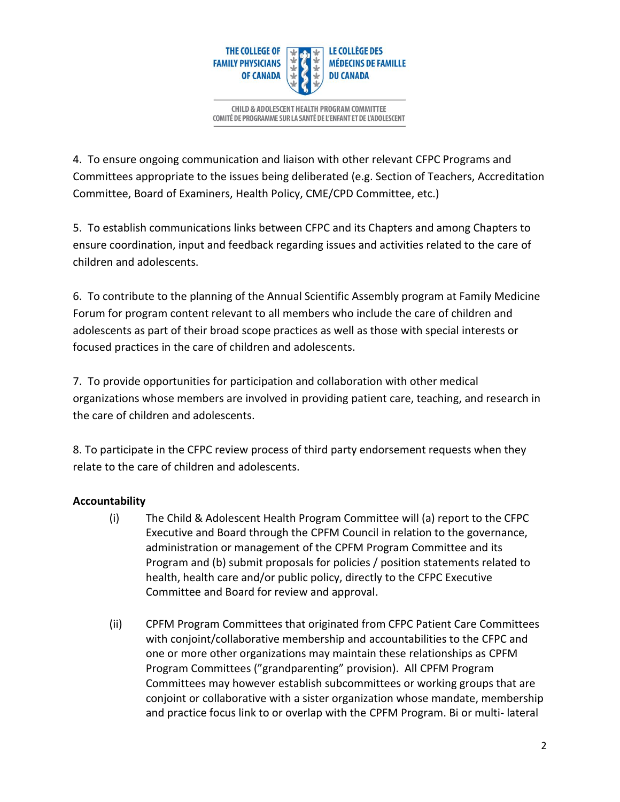

4. To ensure ongoing communication and liaison with other relevant CFPC Programs and Committees appropriate to the issues being deliberated (e.g. Section of Teachers, Accreditation Committee, Board of Examiners, Health Policy, CME/CPD Committee, etc.)

5. To establish communications links between CFPC and its Chapters and among Chapters to ensure coordination, input and feedback regarding issues and activities related to the care of children and adolescents.

6. To contribute to the planning of the Annual Scientific Assembly program at Family Medicine Forum for program content relevant to all members who include the care of children and adolescents as part of their broad scope practices as well as those with special interests or focused practices in the care of children and adolescents.

7. To provide opportunities for participation and collaboration with other medical organizations whose members are involved in providing patient care, teaching, and research in the care of children and adolescents.

8. To participate in the CFPC review process of third party endorsement requests when they relate to the care of children and adolescents.

## **Accountability**

- (i) The Child & Adolescent Health Program Committee will (a) report to the CFPC Executive and Board through the CPFM Council in relation to the governance, administration or management of the CPFM Program Committee and its Program and (b) submit proposals for policies / position statements related to health, health care and/or public policy, directly to the CFPC Executive Committee and Board for review and approval.
- (ii) CPFM Program Committees that originated from CFPC Patient Care Committees with conjoint/collaborative membership and accountabilities to the CFPC and one or more other organizations may maintain these relationships as CPFM Program Committees ("grandparenting" provision). All CPFM Program Committees may however establish subcommittees or working groups that are conjoint or collaborative with a sister organization whose mandate, membership and practice focus link to or overlap with the CPFM Program. Bi or multi- lateral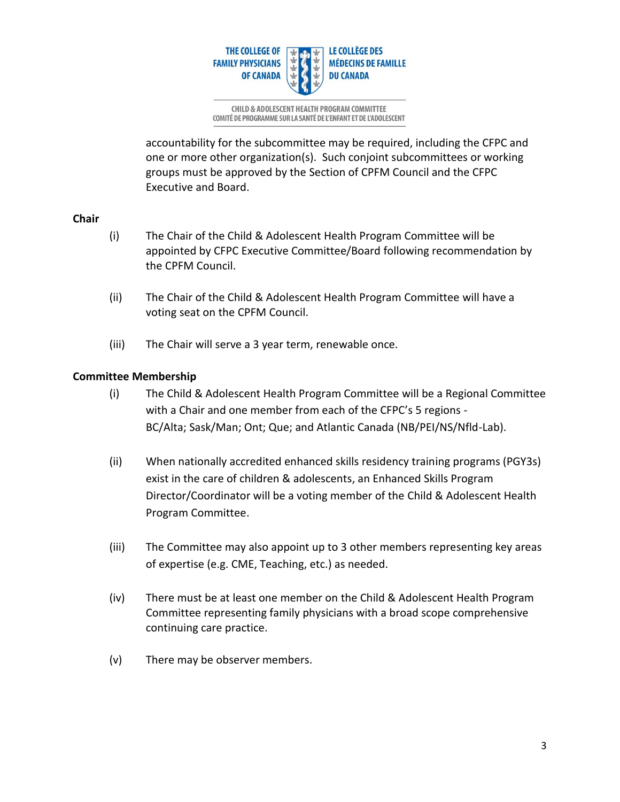

accountability for the subcommittee may be required, including the CFPC and one or more other organization(s). Such conjoint subcommittees or working groups must be approved by the Section of CPFM Council and the CFPC Executive and Board.

### **Chair**

- (i) The Chair of the Child & Adolescent Health Program Committee will be appointed by CFPC Executive Committee/Board following recommendation by the CPFM Council.
- (ii) The Chair of the Child & Adolescent Health Program Committee will have a voting seat on the CPFM Council.
- (iii) The Chair will serve a 3 year term, renewable once.

### **Committee Membership**

- (i) The Child & Adolescent Health Program Committee will be a Regional Committee with a Chair and one member from each of the CFPC's 5 regions - BC/Alta; Sask/Man; Ont; Que; and Atlantic Canada (NB/PEI/NS/Nfld-Lab).
- (ii) When nationally accredited enhanced skills residency training programs (PGY3s) exist in the care of children & adolescents, an Enhanced Skills Program Director/Coordinator will be a voting member of the Child & Adolescent Health Program Committee.
- (iii) The Committee may also appoint up to 3 other members representing key areas of expertise (e.g. CME, Teaching, etc.) as needed.
- (iv) There must be at least one member on the Child & Adolescent Health Program Committee representing family physicians with a broad scope comprehensive continuing care practice.
- (v) There may be observer members.